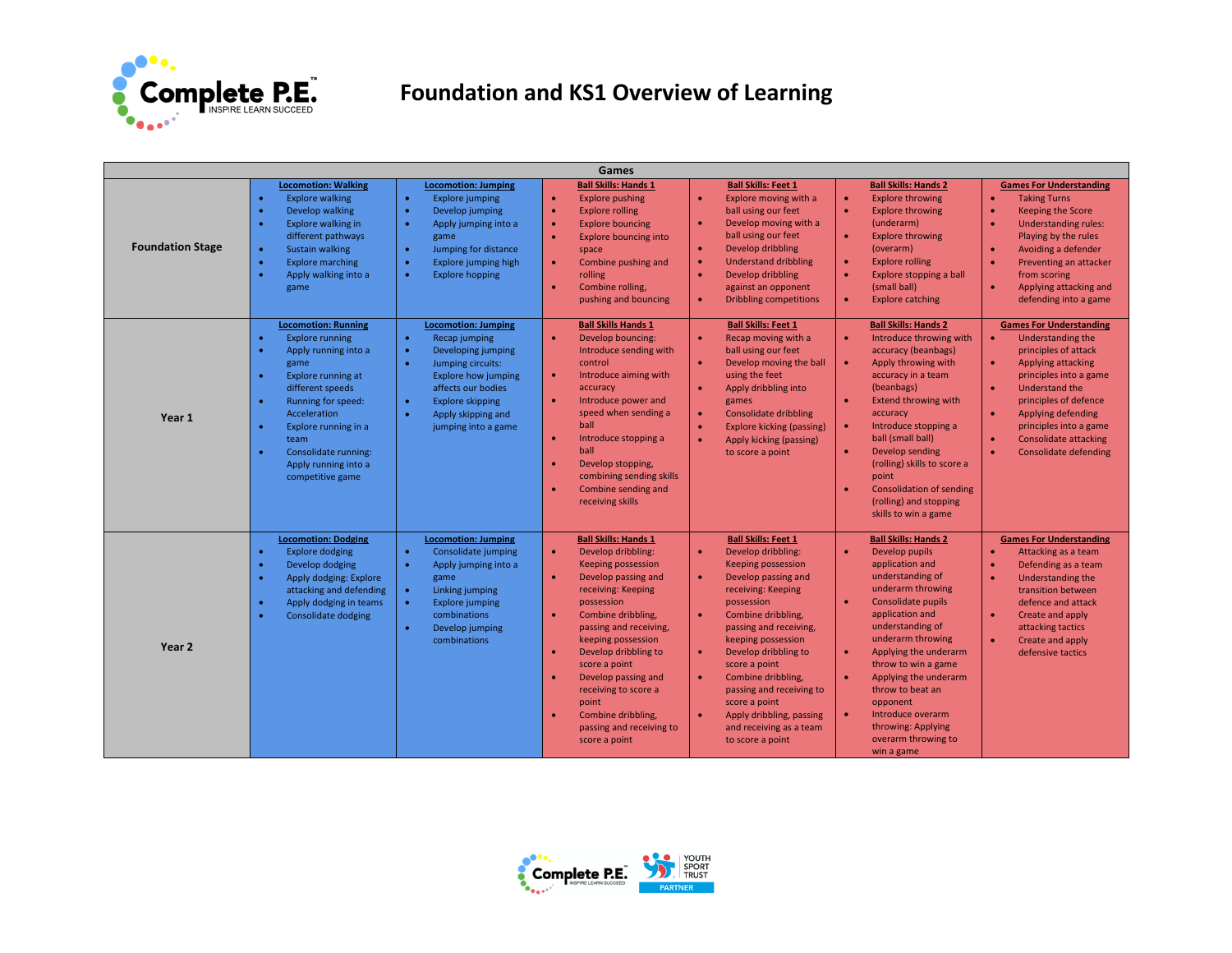

## **Foundation and KS1 Overview of Learning**

| Games                   |                                                                                                                                                                                                                                                                                                  |                                                                                                                                                                                                                                                                                                                                                                        |                                                                                                                                                                                                                                                                                                                                                                                                                                        |                                                                                                                                                                                                                                                                                                                                                                                                                                                                        |                                                                                                                                                                                                                                                                                                                                                                                                                                                         |                                                                                                                                                                                                                                                                                                                                                                                                                                                 |  |  |
|-------------------------|--------------------------------------------------------------------------------------------------------------------------------------------------------------------------------------------------------------------------------------------------------------------------------------------------|------------------------------------------------------------------------------------------------------------------------------------------------------------------------------------------------------------------------------------------------------------------------------------------------------------------------------------------------------------------------|----------------------------------------------------------------------------------------------------------------------------------------------------------------------------------------------------------------------------------------------------------------------------------------------------------------------------------------------------------------------------------------------------------------------------------------|------------------------------------------------------------------------------------------------------------------------------------------------------------------------------------------------------------------------------------------------------------------------------------------------------------------------------------------------------------------------------------------------------------------------------------------------------------------------|---------------------------------------------------------------------------------------------------------------------------------------------------------------------------------------------------------------------------------------------------------------------------------------------------------------------------------------------------------------------------------------------------------------------------------------------------------|-------------------------------------------------------------------------------------------------------------------------------------------------------------------------------------------------------------------------------------------------------------------------------------------------------------------------------------------------------------------------------------------------------------------------------------------------|--|--|
| <b>Foundation Stage</b> | <b>Locomotion: Walking</b><br><b>Explore walking</b><br>Develop walking<br>Explore walking in<br>different pathways<br><b>Sustain walking</b><br><b>Explore marching</b><br>Apply walking into a<br>game<br><b>Locomotion: Running</b><br><b>Explore running</b><br>Apply running into a<br>game | <b>Locomotion: Jumping</b><br><b>Explore jumping</b><br>$\bullet$<br>Develop jumping<br>$\bullet$<br>Apply jumping into a<br>game<br>Jumping for distance<br>$\bullet$<br>Explore jumping high<br>$\bullet$<br><b>Explore hopping</b><br><b>Locomotion: Jumping</b><br>$\bullet$<br>Recap jumping<br>Developing jumping<br>$\bullet$<br>Jumping circuits:<br>$\bullet$ | <b>Ball Skills: Hands 1</b><br><b>Explore pushing</b><br>$\bullet$<br><b>Explore rolling</b><br>$\bullet$<br><b>Explore bouncing</b><br>$\bullet$<br><b>Explore bouncing into</b><br>space<br>Combine pushing and<br>$\bullet$<br>rolling<br>Combine rolling,<br>$\bullet$<br>pushing and bouncing<br><b>Ball Skills Hands 1</b><br>$\bullet$<br>Develop bouncing:<br>Introduce sending with<br>control                                | <b>Ball Skills: Feet 1</b><br>Explore moving with a<br>$\bullet$<br>ball using our feet<br>$\bullet$<br>Develop moving with a<br>ball using our feet<br>Develop dribbling<br>$\bullet$<br>$\bullet$<br><b>Understand dribbling</b><br>Develop dribbling<br>$\bullet$<br>against an opponent<br><b>Dribbling competitions</b><br><b>Ball Skills: Feet 1</b><br>Recap moving with a<br>$\bullet$<br>ball using our feet<br>Develop moving the ball<br>$\bullet$          | <b>Ball Skills: Hands 2</b><br><b>Explore throwing</b><br>$\bullet$<br><b>Explore throwing</b><br>$\bullet$<br>(underarm)<br><b>Explore throwing</b><br>$\bullet$<br>(overarm)<br><b>Explore rolling</b><br>$\bullet$<br>Explore stopping a ball<br>$\bullet$<br>(small ball)<br><b>Explore catching</b><br>$\bullet$<br><b>Ball Skills: Hands 2</b><br>Introduce throwing with<br>$\bullet$<br>accuracy (beanbags)<br>Apply throwing with<br>$\bullet$ | <b>Games For Understanding</b><br><b>Taking Turns</b><br>$\bullet$<br><b>Keeping the Score</b><br><b>Understanding rules:</b><br>Playing by the rules<br>Avoiding a defender<br>$\bullet$<br>Preventing an attacker<br>$\bullet$<br>from scoring<br>$\bullet$<br>Applying attacking and<br>defending into a game<br><b>Games For Understanding</b><br>Understanding the<br>$\bullet$<br>principles of attack<br>Applying attacking<br>$\bullet$ |  |  |
| Year 1                  | Explore running at<br>different speeds<br>Running for speed:<br>Acceleration<br>Explore running in a<br>team<br>Consolidate running:<br>Apply running into a<br>competitive game                                                                                                                 | <b>Explore how jumping</b><br>affects our bodies<br>$\bullet$<br><b>Explore skipping</b><br>Apply skipping and<br>$\bullet$<br>jumping into a game                                                                                                                                                                                                                     | Introduce aiming with<br>$\bullet$<br>accuracy<br>Introduce power and<br>$\bullet$<br>speed when sending a<br>ball<br>Introduce stopping a<br>$\bullet$<br>ball<br>Develop stopping,<br>combining sending skills<br>Combine sending and<br>$\bullet$<br>receiving skills                                                                                                                                                               | using the feet<br>Apply dribbling into<br>$\bullet$<br>games<br><b>Consolidate dribbling</b><br>$\bullet$<br><b>Explore kicking (passing)</b><br>$\bullet$<br>Apply kicking (passing)<br>$\bullet$<br>to score a point                                                                                                                                                                                                                                                 | accuracy in a team<br>(beanbags)<br><b>Extend throwing with</b><br>$\bullet$<br>accuracy<br>$\bullet$<br>Introduce stopping a<br>ball (small ball)<br>Develop sending<br>$\bullet$<br>(rolling) skills to score a<br>point<br><b>Consolidation of sending</b><br>(rolling) and stopping<br>skills to win a game                                                                                                                                         | principles into a game<br>Understand the<br>$\bullet$<br>principles of defence<br>Applying defending<br>principles into a game<br><b>Consolidate attacking</b><br>$\bullet$<br><b>Consolidate defending</b>                                                                                                                                                                                                                                     |  |  |
| Year <sub>2</sub>       | <b>Locomotion: Dodging</b><br><b>Explore dodging</b><br>Develop dodging<br>Apply dodging: Explore<br>attacking and defending<br>Apply dodging in teams<br><b>Consolidate dodging</b>                                                                                                             | <b>Locomotion: Jumping</b><br>$\bullet$<br>Consolidate jumping<br>Apply jumping into a<br>$\bullet$<br>game<br>Linking jumping<br>$\bullet$<br>$\bullet$<br><b>Explore jumping</b><br>combinations<br>Develop jumping<br>$\bullet$<br>combinations                                                                                                                     | <b>Ball Skills: Hands 1</b><br>$\bullet$<br>Develop dribbling:<br><b>Keeping possession</b><br>Develop passing and<br>receiving: Keeping<br>possession<br>Combine dribbling,<br>$\bullet$<br>passing and receiving,<br>keeping possession<br>Develop dribbling to<br>$\bullet$<br>score a point<br>Develop passing and<br>$\bullet$<br>receiving to score a<br>point<br>Combine dribbling<br>passing and receiving to<br>score a point | <b>Ball Skills: Feet 1</b><br>Develop dribbling:<br>$\bullet$<br><b>Keeping possession</b><br>Develop passing and<br>$\bullet$<br>receiving: Keeping<br>possession<br>$\bullet$<br>Combine dribbling,<br>passing and receiving,<br>keeping possession<br>Develop dribbling to<br>$\bullet$<br>score a point<br>Combine dribbling,<br>$\bullet$<br>passing and receiving to<br>score a point<br>Apply dribbling, passing<br>and receiving as a team<br>to score a point | <b>Ball Skills: Hands 2</b><br>Develop pupils<br>$\bullet$<br>application and<br>understanding of<br>underarm throwing<br>Consolidate pupils<br>$\bullet$<br>application and<br>understanding of<br>underarm throwing<br>Applying the underarm<br>$\bullet$<br>throw to win a game<br>Applying the underarm<br>$\bullet$<br>throw to beat an<br>opponent<br>Introduce overarm<br>$\bullet$<br>throwing: Applying<br>overarm throwing to<br>win a game   | <b>Games For Understanding</b><br>Attacking as a team<br>Defending as a team<br>$\bullet$<br>Understanding the<br>transition between<br>defence and attack<br>$\bullet$<br>Create and apply<br>attacking tactics<br>$\bullet$<br>Create and apply<br>defensive tactics                                                                                                                                                                          |  |  |